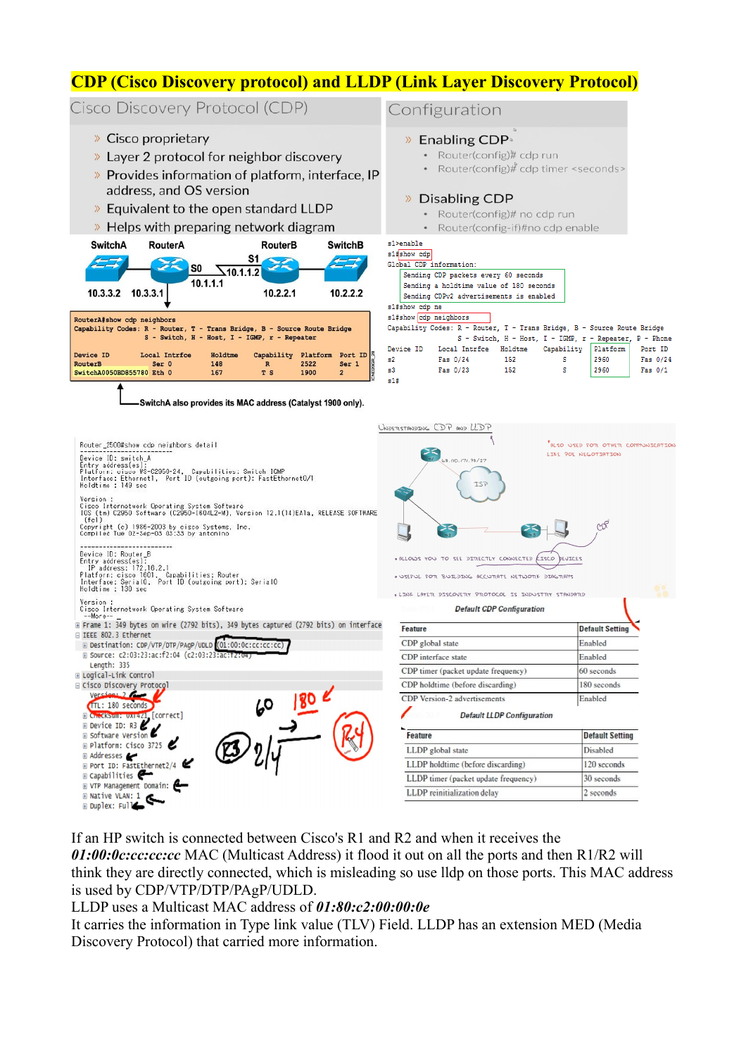# **CDP (Cisco Discovery protocol) and LLDP (Link Layer Discovery Protocol)**

### Cisco Discovery Protocol (CDP)

- » Cisco proprietary
- >> Layer 2 protocol for neighbor discovery
- >> Provides information of platform, interface, IP address, and OS version
- » Equivalent to the open standard LLDP
- > Helps with preparing network diagram

| <b>SwitchA</b>                                                                                                                                        | RouterA                |                               | <b>RouterB</b>                    |                          | <b>SwitchB</b>                     |  |  |  |  |
|-------------------------------------------------------------------------------------------------------------------------------------------------------|------------------------|-------------------------------|-----------------------------------|--------------------------|------------------------------------|--|--|--|--|
| 10.3.3.2 10.3.3.1                                                                                                                                     | S <sub>0</sub>         | $\sqrt{10.1.1.2}$<br>10.1.1.1 | S1<br>10.2.2.1                    |                          | 10.2.2.2                           |  |  |  |  |
| RouterA#show cdp neighbors<br>Capability Codes: R - Router, T - Trans Bridge, B - Source Route Bridge<br>S - Switch, H - Host, I - IGMP, r - Repeater |                        |                               |                                   |                          |                                    |  |  |  |  |
| Device ID<br>RouterB<br>SwitchA0050BD855780 Eth 0                                                                                                     | Local Intrfce<br>Ser 0 | Holdtme<br>148<br>167         | Capability<br>$\mathbb{R}$<br>T S | Platform<br>2522<br>1900 | Port ID<br>Ser 1<br>$\overline{2}$ |  |  |  |  |
|                                                                                                                                                       |                        |                               |                                   |                          |                                    |  |  |  |  |

-SwitchA also provides its MAC address (Catalyst 1900 only).

## Configuration

### » Enabling CDP

- Router(config)# cdp run
- Router(config)# cdp timer <seconds>

#### » Disabling CDP

- Router(config)# no cdp run
- Router(config-if)#no cdp enable

#### s1>enable  $-1$  denote

|                                                                         |                                         | Global CDP information:                 |                                                         |            |          |          |  |  |  |
|-------------------------------------------------------------------------|-----------------------------------------|-----------------------------------------|---------------------------------------------------------|------------|----------|----------|--|--|--|
|                                                                         |                                         | Sending CDP packets every 60 seconds    |                                                         |            |          |          |  |  |  |
|                                                                         |                                         | Sending a holdtime value of 180 seconds |                                                         |            |          |          |  |  |  |
|                                                                         | Sending CDPv2 advertisements is enabled |                                         |                                                         |            |          |          |  |  |  |
| s1#show cdp ne                                                          |                                         |                                         |                                                         |            |          |          |  |  |  |
|                                                                         |                                         | s1#show cdp neighbors                   |                                                         |            |          |          |  |  |  |
| Capability Codes: R - Router, T - Trans Bridge, B - Source Route Bridge |                                         |                                         |                                                         |            |          |          |  |  |  |
|                                                                         |                                         |                                         | S - Switch, H - Host, I - IGMP, r - Repeater, P - Phone |            |          |          |  |  |  |
|                                                                         | Device ID                               | Local Intrfce                           | Holdtme                                                 | Capability | Platform | Port ID  |  |  |  |
| ۵2                                                                      |                                         | Fas 0/24                                | 152                                                     | s          | 2960     | Fas 0/24 |  |  |  |
| s3.                                                                     |                                         | Fas 0/23                                | 152                                                     | s          | 2960     | Fas 0/1  |  |  |  |
| s1#                                                                     |                                         |                                         |                                                         |            |          |          |  |  |  |



If an HP switch is connected between Cisco's R1 and R2 and when it receives the

*01:00:0c:cc:cc:cc* MAC (Multicast Address) it flood it out on all the ports and then R1/R2 will think they are directly connected, which is misleading so use lldp on those ports. This MAC address is used by CDP/VTP/DTP/PAgP/UDLD.

LLDP uses a Multicast MAC address of *01:80:c2:00:00:0e*

It carries the information in Type link value (TLV) Field. LLDP has an extension MED (Media Discovery Protocol) that carried more information.